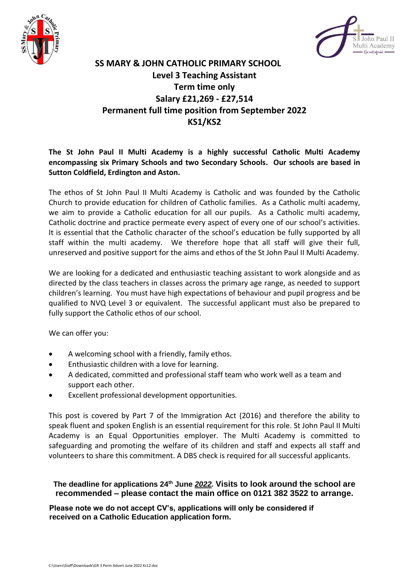



## **SS MARY & JOHN CATHOLIC PRIMARY SCHOOL Level 3 Teaching Assistant Term time only Salary £21,269 - £27,514 Permanent full time position from September 2022 KS1/KS2**

## **The St John Paul II Multi Academy is a highly successful Catholic Multi Academy encompassing six Primary Schools and two Secondary Schools. Our schools are based in Sutton Coldfield, Erdington and Aston.**

The ethos of St John Paul II Multi Academy is Catholic and was founded by the Catholic Church to provide education for children of Catholic families. As a Catholic multi academy, we aim to provide a Catholic education for all our pupils. As a Catholic multi academy, Catholic doctrine and practice permeate every aspect of every one of our school's activities. It is essential that the Catholic character of the school's education be fully supported by all staff within the multi academy. We therefore hope that all staff will give their full, unreserved and positive support for the aims and ethos of the St John Paul II Multi Academy.

We are looking for a dedicated and enthusiastic teaching assistant to work alongside and as directed by the class teachers in classes across the primary age range, as needed to support children's learning. You must have high expectations of behaviour and pupil progress and be qualified to NVQ Level 3 or equivalent. The successful applicant must also be prepared to fully support the Catholic ethos of our school.

We can offer you:

- A welcoming school with a friendly, family ethos.
- Enthusiastic children with a love for learning.
- A dedicated, committed and professional staff team who work well as a team and support each other.
- Excellent professional development opportunities.

This post is covered by Part 7 of the Immigration Act (2016) and therefore the ability to speak fluent and spoken English is an essential requirement for this role. St John Paul II Multi Academy is an Equal Opportunities employer. The Multi Academy is committed to safeguarding and promoting the welfare of its children and staff and expects all staff and volunteers to share this commitment. A DBS check is required for all successful applicants.

**The deadline for applications 24th June** *2022.* **Visits to look around the school are recommended – please contact the main office on 0121 382 3522 to arrange.**

**Please note we do not accept CV's, applications will only be considered if received on a Catholic Education application form.**